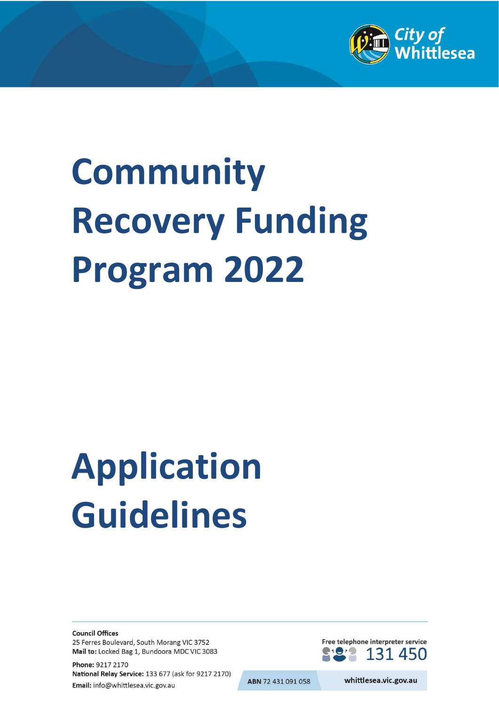

# **Community Recovery Funding Program 2022**

# **Application Guidelines**

**Council Offices** 25 Ferres Boulevard, South Morang VIC 3752 Mail to: Locked Bag 1, Bundoora MDC VIC 3083

Phone: 9217 2170 National Relay Service: 133 677 (ask for 9217 2170) Email: info@whittlesea.vic.gov.au

Free telephone interpreter service 131 450

ABN 72 431 091 058

whittlesea.vic.gov.au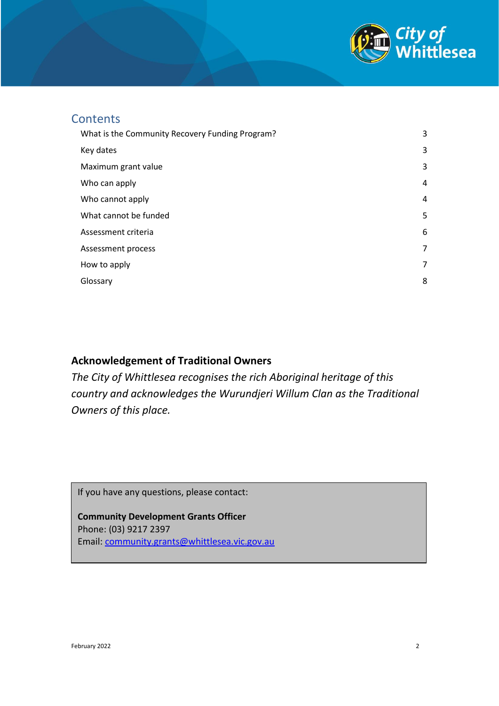

### **Contents**

| What is the Community Recovery Funding Program? | 3 |
|-------------------------------------------------|---|
| Key dates                                       | 3 |
| Maximum grant value                             | 3 |
| Who can apply                                   | 4 |
| Who cannot apply                                | 4 |
| What cannot be funded                           | 5 |
| Assessment criteria                             | 6 |
| Assessment process                              | 7 |
| How to apply                                    | 7 |
| Glossary                                        | 8 |

#### **Acknowledgement of Traditional Owners**

*The City of Whittlesea recognises the rich Aboriginal heritage of this country and acknowledges the Wurundjeri Willum Clan as the Traditional Owners of this place.*

If you have any questions, please contact:

<span id="page-1-0"></span>**Community Development Grants Officer** Phone: (03) 9217 2397 Email: [community.grants@whittlesea.vic.gov.au](mailto:community.grants@whittlesea.vic.gov.au)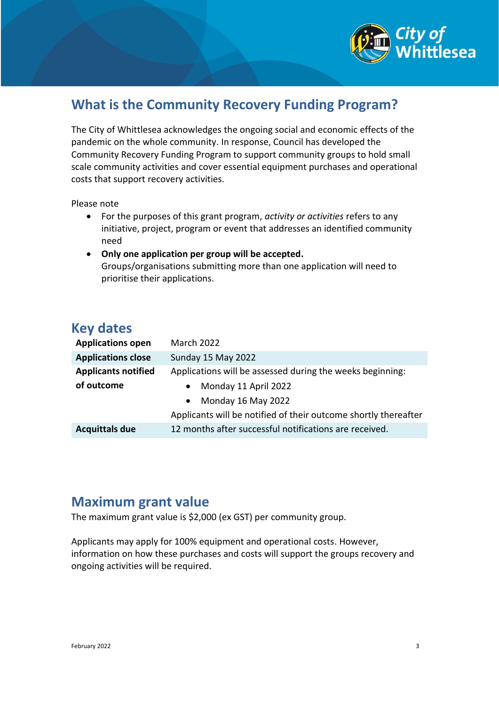

# **What is the Community Recovery Funding Program?**

The City of Whittlesea acknowledges the ongoing social and economic effects of the pandemic on the whole community. In response, Council has developed the Community Recovery Funding Program to support community groups to hold small scale community activities and cover essential equipment purchases and operational costs that support recovery activities.

#### Please note

- For the purposes of this grant program, *activity or activities* refers to any initiative, project, program or event that addresses an identified community need
- **Only one application per group will be accepted.**  Groups/organisations submitting more than one application will need to prioritise their applications.

## <span id="page-2-0"></span>**Key dates**

| <b>Applications open</b>   | <b>March 2022</b>                                               |
|----------------------------|-----------------------------------------------------------------|
| <b>Applications close</b>  | Sunday 15 May 2022                                              |
| <b>Applicants notified</b> | Applications will be assessed during the weeks beginning:       |
| of outcome                 | Monday 11 April 2022                                            |
|                            | Monday 16 May 2022<br>$\bullet$                                 |
|                            | Applicants will be notified of their outcome shortly thereafter |
| <b>Acquittals due</b>      | 12 months after successful notifications are received.          |

## <span id="page-2-1"></span>**Maximum grant value**

The maximum grant value is \$2,000 (ex GST) per community group.

Applicants may apply for 100% equipment and operational costs. However, information on how these purchases and costs will support the groups recovery and ongoing activities will be required.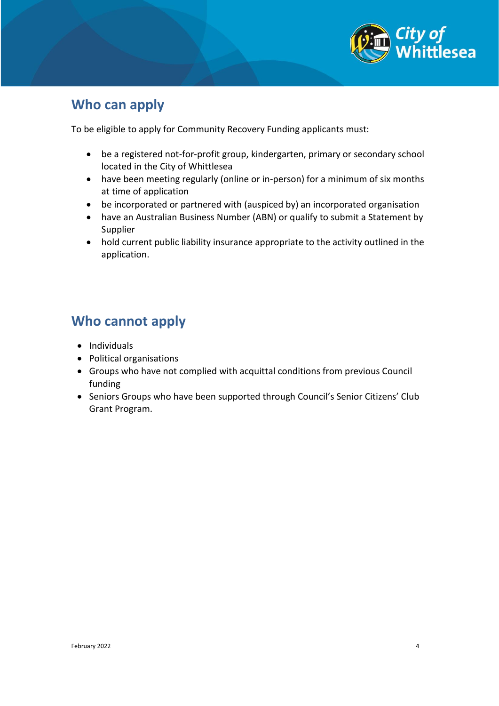

# <span id="page-3-0"></span>**Who can apply**

To be eligible to apply for Community Recovery Funding applicants must:

- be a registered not-for-profit group, kindergarten, primary or secondary school located in the City of Whittlesea
- have been meeting regularly (online or in-person) for a minimum of six months at time of application
- be incorporated or partnered with (auspiced by) an incorporated organisation
- have an Australian Business Number (ABN) or qualify to submit a Statement by Supplier
- hold current public liability insurance appropriate to the activity outlined in the application.

# <span id="page-3-1"></span>**Who cannot apply**

- Individuals
- Political organisations
- Groups who have not complied with acquittal conditions from previous Council funding
- Seniors Groups who have been supported through Council's Senior Citizens' Club Grant Program.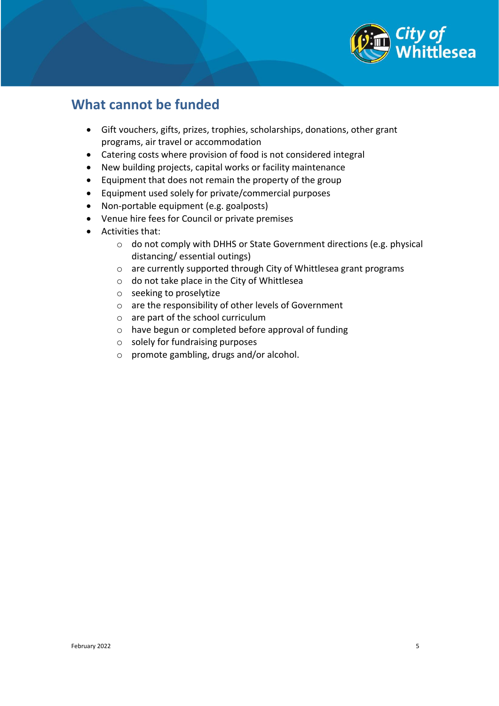

## <span id="page-4-0"></span>**What cannot be funded**

- Gift vouchers, gifts, prizes, trophies, scholarships, donations, other grant programs, air travel or accommodation
- Catering costs where provision of food is not considered integral
- New building projects, capital works or facility maintenance
- Equipment that does not remain the property of the group
- Equipment used solely for private/commercial purposes
- Non-portable equipment (e.g. goalposts)
- Venue hire fees for Council or private premises
- Activities that:
	- o do not comply with DHHS or State Government directions (e.g. physical distancing/ essential outings)
	- o are currently supported through City of Whittlesea grant programs
	- o do not take place in the City of Whittlesea
	- o seeking to proselytize
	- o are the responsibility of other levels of Government
	- o are part of the school curriculum
	- o have begun or completed before approval of funding
	- o solely for fundraising purposes
	- o promote gambling, drugs and/or alcohol.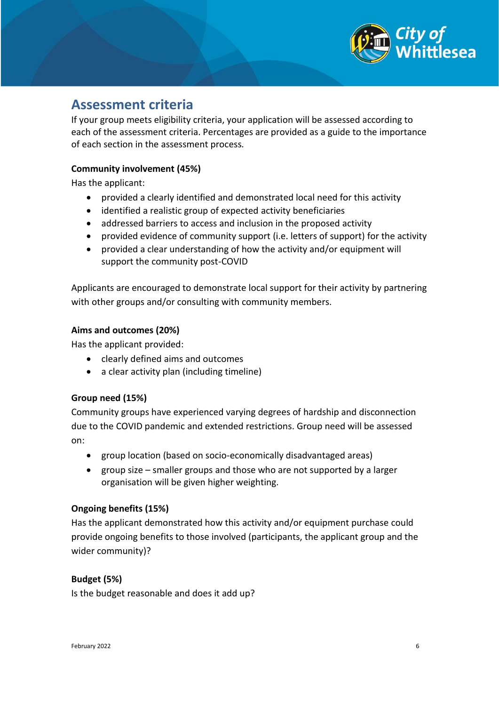

## <span id="page-5-0"></span>**Assessment criteria**

If your group meets eligibility criteria, your application will be assessed according to each of the assessment criteria. Percentages are provided as a guide to the importance of each section in the assessment process*.*

#### **Community involvement (45%)**

Has the applicant:

- provided a clearly identified and demonstrated local need for this activity
- identified a realistic group of expected activity beneficiaries
- addressed barriers to access and inclusion in the proposed activity
- provided evidence of community support (i.e. letters of support) for the activity
- provided a clear understanding of how the activity and/or equipment will support the community post-COVID

Applicants are encouraged to demonstrate local support for their activity by partnering with other groups and/or consulting with community members.

#### **Aims and outcomes (20%)**

Has the applicant provided:

- clearly defined aims and outcomes
- a clear activity plan (including timeline)

#### **Group need (15%)**

Community groups have experienced varying degrees of hardship and disconnection due to the COVID pandemic and extended restrictions. Group need will be assessed on:

- group location (based on socio-economically disadvantaged areas)
- group size smaller groups and those who are not supported by a larger organisation will be given higher weighting.

#### **Ongoing benefits (15%)**

Has the applicant demonstrated how this activity and/or equipment purchase could provide ongoing benefits to those involved (participants, the applicant group and the wider community)?

#### **Budget (5%)**

Is the budget reasonable and does it add up?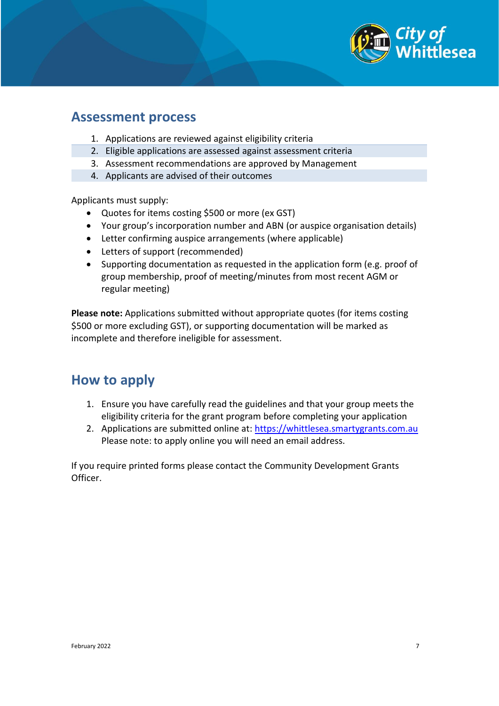

## <span id="page-6-0"></span>**Assessment process**

- 1. Applications are reviewed against eligibility criteria
- 2. Eligible applications are assessed against assessment criteria
- 3. Assessment recommendations are approved by Management
- 4. Applicants are advised of their outcomes

Applicants must supply:

- Quotes for items costing \$500 or more (ex GST)
- Your group's incorporation number and ABN (or auspice organisation details)
- Letter confirming auspice arrangements (where applicable)
- Letters of support (recommended)
- Supporting documentation as requested in the application form (e.g. proof of group membership, proof of meeting/minutes from most recent AGM or regular meeting)

**Please note:** Applications submitted without appropriate quotes (for items costing \$500 or more excluding GST), or supporting documentation will be marked as incomplete and therefore ineligible for assessment.

## <span id="page-6-1"></span>**How to apply**

- 1. Ensure you have carefully read the guidelines and that your group meets the eligibility criteria for the grant program before completing your application
- 2. Applications are submitted online at: [https://whittlesea.smartygrants.com.au](https://whittlesea.smartygrants.com.au/) Please note: to apply online you will need an email address.

If you require printed forms please contact the Community Development Grants Officer.